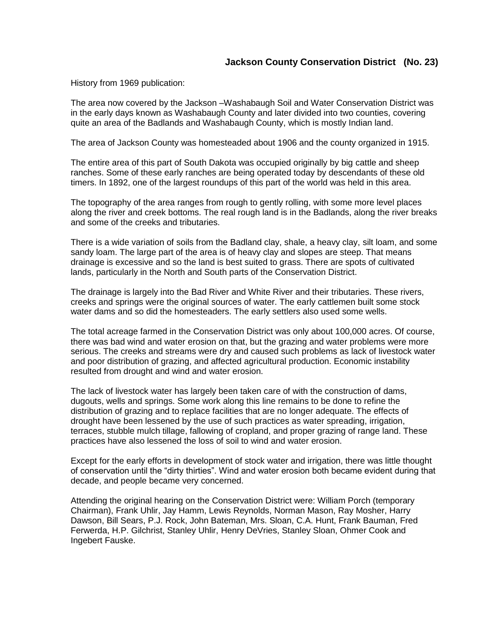## **Jackson County Conservation District (No. 23)**

History from 1969 publication:

The area now covered by the Jackson –Washabaugh Soil and Water Conservation District was in the early days known as Washabaugh County and later divided into two counties, covering quite an area of the Badlands and Washabaugh County, which is mostly Indian land.

The area of Jackson County was homesteaded about 1906 and the county organized in 1915.

The entire area of this part of South Dakota was occupied originally by big cattle and sheep ranches. Some of these early ranches are being operated today by descendants of these old timers. In 1892, one of the largest roundups of this part of the world was held in this area.

The topography of the area ranges from rough to gently rolling, with some more level places along the river and creek bottoms. The real rough land is in the Badlands, along the river breaks and some of the creeks and tributaries.

There is a wide variation of soils from the Badland clay, shale, a heavy clay, silt loam, and some sandy loam. The large part of the area is of heavy clay and slopes are steep. That means drainage is excessive and so the land is best suited to grass. There are spots of cultivated lands, particularly in the North and South parts of the Conservation District.

The drainage is largely into the Bad River and White River and their tributaries. These rivers, creeks and springs were the original sources of water. The early cattlemen built some stock water dams and so did the homesteaders. The early settlers also used some wells.

The total acreage farmed in the Conservation District was only about 100,000 acres. Of course, there was bad wind and water erosion on that, but the grazing and water problems were more serious. The creeks and streams were dry and caused such problems as lack of livestock water and poor distribution of grazing, and affected agricultural production. Economic instability resulted from drought and wind and water erosion.

The lack of livestock water has largely been taken care of with the construction of dams, dugouts, wells and springs. Some work along this line remains to be done to refine the distribution of grazing and to replace facilities that are no longer adequate. The effects of drought have been lessened by the use of such practices as water spreading, irrigation, terraces, stubble mulch tillage, fallowing of cropland, and proper grazing of range land. These practices have also lessened the loss of soil to wind and water erosion.

Except for the early efforts in development of stock water and irrigation, there was little thought of conservation until the "dirty thirties". Wind and water erosion both became evident during that decade, and people became very concerned.

Attending the original hearing on the Conservation District were: William Porch (temporary Chairman), Frank Uhlir, Jay Hamm, Lewis Reynolds, Norman Mason, Ray Mosher, Harry Dawson, Bill Sears, P.J. Rock, John Bateman, Mrs. Sloan, C.A. Hunt, Frank Bauman, Fred Ferwerda, H.P. Gilchrist, Stanley Uhlir, Henry DeVries, Stanley Sloan, Ohmer Cook and Ingebert Fauske.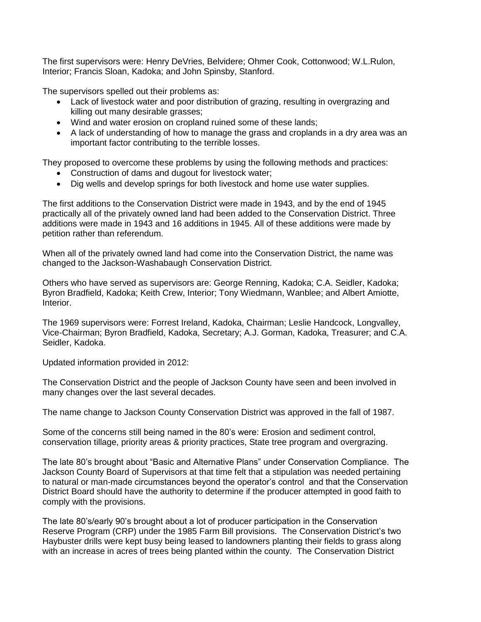The first supervisors were: Henry DeVries, Belvidere; Ohmer Cook, Cottonwood; W.L.Rulon, Interior; Francis Sloan, Kadoka; and John Spinsby, Stanford.

The supervisors spelled out their problems as:

- Lack of livestock water and poor distribution of grazing, resulting in overgrazing and killing out many desirable grasses;
- Wind and water erosion on cropland ruined some of these lands;
- A lack of understanding of how to manage the grass and croplands in a dry area was an important factor contributing to the terrible losses.

They proposed to overcome these problems by using the following methods and practices:

- Construction of dams and dugout for livestock water;
- Dig wells and develop springs for both livestock and home use water supplies.

The first additions to the Conservation District were made in 1943, and by the end of 1945 practically all of the privately owned land had been added to the Conservation District. Three additions were made in 1943 and 16 additions in 1945. All of these additions were made by petition rather than referendum.

When all of the privately owned land had come into the Conservation District, the name was changed to the Jackson-Washabaugh Conservation District.

Others who have served as supervisors are: George Renning, Kadoka; C.A. Seidler, Kadoka; Byron Bradfield, Kadoka; Keith Crew, Interior; Tony Wiedmann, Wanblee; and Albert Amiotte, Interior.

The 1969 supervisors were: Forrest Ireland, Kadoka, Chairman; Leslie Handcock, Longvalley, Vice-Chairman; Byron Bradfield, Kadoka, Secretary; A.J. Gorman, Kadoka, Treasurer; and C.A. Seidler, Kadoka.

Updated information provided in 2012:

The Conservation District and the people of Jackson County have seen and been involved in many changes over the last several decades.

The name change to Jackson County Conservation District was approved in the fall of 1987.

Some of the concerns still being named in the 80's were: Erosion and sediment control, conservation tillage, priority areas & priority practices, State tree program and overgrazing.

The late 80's brought about "Basic and Alternative Plans" under Conservation Compliance. The Jackson County Board of Supervisors at that time felt that a stipulation was needed pertaining to natural or man-made circumstances beyond the operator's control and that the Conservation District Board should have the authority to determine if the producer attempted in good faith to comply with the provisions.

The late 80's/early 90's brought about a lot of producer participation in the Conservation Reserve Program (CRP) under the 1985 Farm Bill provisions. The Conservation District's two Haybuster drills were kept busy being leased to landowners planting their fields to grass along with an increase in acres of trees being planted within the county. The Conservation District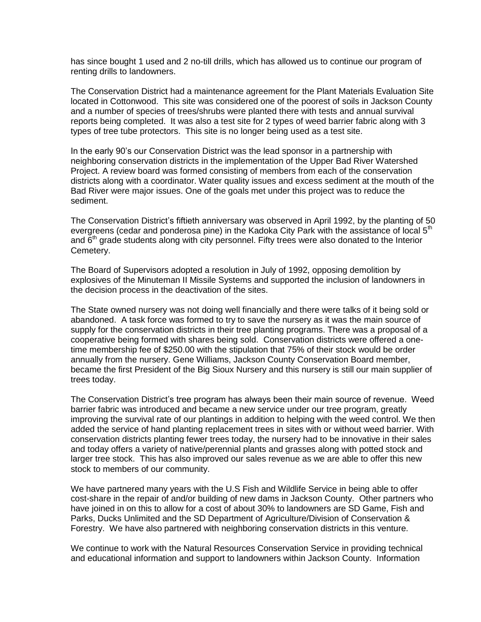has since bought 1 used and 2 no-till drills, which has allowed us to continue our program of renting drills to landowners.

The Conservation District had a maintenance agreement for the Plant Materials Evaluation Site located in Cottonwood. This site was considered one of the poorest of soils in Jackson County and a number of species of trees/shrubs were planted there with tests and annual survival reports being completed. It was also a test site for 2 types of weed barrier fabric along with 3 types of tree tube protectors. This site is no longer being used as a test site.

In the early 90's our Conservation District was the lead sponsor in a partnership with neighboring conservation districts in the implementation of the Upper Bad River Watershed Project. A review board was formed consisting of members from each of the conservation districts along with a coordinator. Water quality issues and excess sediment at the mouth of the Bad River were major issues. One of the goals met under this project was to reduce the sediment.

The Conservation District's fiftieth anniversary was observed in April 1992, by the planting of 50 evergreens (cedar and ponderosa pine) in the Kadoka City Park with the assistance of local  $5<sup>th</sup>$ and  $6<sup>th</sup>$  grade students along with city personnel. Fifty trees were also donated to the Interior Cemetery.

The Board of Supervisors adopted a resolution in July of 1992, opposing demolition by explosives of the Minuteman II Missile Systems and supported the inclusion of landowners in the decision process in the deactivation of the sites.

The State owned nursery was not doing well financially and there were talks of it being sold or abandoned. A task force was formed to try to save the nursery as it was the main source of supply for the conservation districts in their tree planting programs. There was a proposal of a cooperative being formed with shares being sold. Conservation districts were offered a onetime membership fee of \$250.00 with the stipulation that 75% of their stock would be order annually from the nursery. Gene Williams, Jackson County Conservation Board member, became the first President of the Big Sioux Nursery and this nursery is still our main supplier of trees today.

The Conservation District's tree program has always been their main source of revenue. Weed barrier fabric was introduced and became a new service under our tree program, greatly improving the survival rate of our plantings in addition to helping with the weed control. We then added the service of hand planting replacement trees in sites with or without weed barrier. With conservation districts planting fewer trees today, the nursery had to be innovative in their sales and today offers a variety of native/perennial plants and grasses along with potted stock and larger tree stock. This has also improved our sales revenue as we are able to offer this new stock to members of our community.

We have partnered many years with the U.S Fish and Wildlife Service in being able to offer cost-share in the repair of and/or building of new dams in Jackson County. Other partners who have joined in on this to allow for a cost of about 30% to landowners are SD Game, Fish and Parks, Ducks Unlimited and the SD Department of Agriculture/Division of Conservation & Forestry. We have also partnered with neighboring conservation districts in this venture.

We continue to work with the Natural Resources Conservation Service in providing technical and educational information and support to landowners within Jackson County. Information